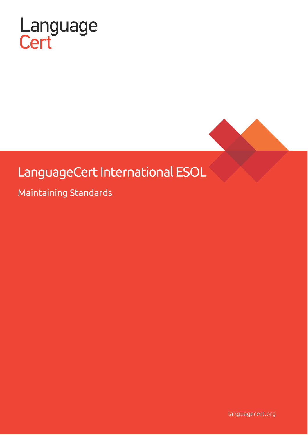

# LanguageCert International ESOL

Maintaining Standards

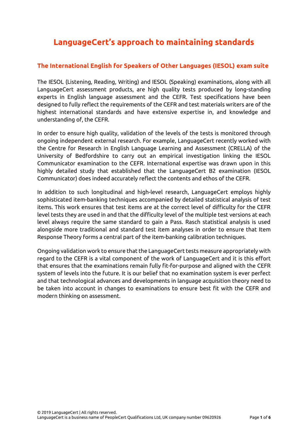# **LanguageCert's approach to maintaining standards**

### **The International English for Speakers of Other Languages (IESOL) exam suite**

The IESOL (Listening, Reading, Writing) and IESOL (Speaking) examinations, along with all LanguageCert assessment products, are high quality tests produced by long-standing experts in English language assessment and the CEFR. Test specifications have been designed to fully reflect the requirements of the CEFR and test materials writers are of the highest international standards and have extensive expertise in, and knowledge and understanding of, the CEFR.

In order to ensure high quality, validation of the levels of the tests is monitored through ongoing independent external research. For example, LanguageCert recently worked with the Centre for Research in English Language Learning and Assessment (CRELLA) of the University of Bedfordshire to carry out an empirical investigation linking the IESOL Communicator examination to the CEFR. International expertise was drawn upon in this highly detailed study that established that the LanguageCert B2 examination (IESOL Communicator) does indeed accurately reflect the contents and ethos of the CEFR.

In addition to such longitudinal and high-level research, LanguageCert employs highly sophisticated item-banking techniques accompanied by detailed statistical analysis of test items. This work ensures that test items are at the correct level of difficulty for the CEFR level tests they are used in and that the difficulty level of the multiple test versions at each level always require the same standard to gain a Pass. Rasch statistical analysis is used alongside more traditional and standard test item analyses in order to ensure that Item Response Theory forms a central part of the item-banking calibration techniques.

Ongoing validation work to ensure that the LanguageCert tests measure appropriately with regard to the CEFR is a vital component of the work of LanguageCert and it is this effort that ensures that the examinations remain fully fit-for-purpose and aligned with the CEFR system of levels into the future. It is our belief that no examination system is ever perfect and that technological advances and developments in language acquisition theory need to be taken into account in changes to examinations to ensure best fit with the CEFR and modern thinking on assessment.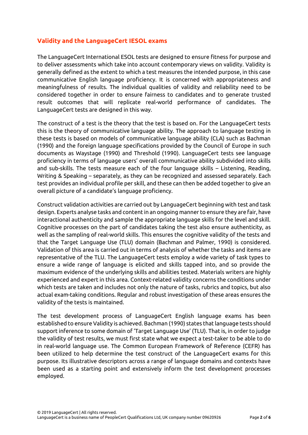#### **Validity and the LanguageCert IESOL exams**

The LanguageCert International ESOL tests are designed to ensure fitness for purpose and to deliver assessments which take into account contemporary views on validity. Validity is generally defined as the extent to which a test measures the intended purpose, in this case communicative English language proficiency. It is concerned with appropriateness and meaningfulness of results. The individual qualities of validity and reliability need to be considered together in order to ensure fairness to candidates and to generate trusted result outcomes that will replicate real-world performance of candidates. The LanguageCert tests are designed in this way.

The construct of a test is the theory that the test is based on. For the LanguageCert tests this is the theory of communicative language ability. The approach to language testing in these tests is based on models of communicative language ability (CLA) such as Bachman (1990) and the foreign language specifications provided by the Council of Europe in such documents as Waystage (1990) and Threshold (1990). LanguageCert tests see language proficiency in terms of language users' overall communicative ability subdivided into skills and sub-skills. The tests measure each of the four language skills – Listening, Reading, Writing & Speaking – separately, as they can be recognized and assessed separately. Each test provides an individual profile per skill, and these can then be added together to give an overall picture of a candidate's language proficiency.

Construct validation activities are carried out by LanguageCert beginning with test and task design. Experts analyse tasks and content in an ongoing manner to ensure they are fair, have interactional authenticity and sample the appropriate language skills for the level and skill. Cognitive processes on the part of candidates taking the test also ensure authenticity, as well as the sampling of real-world skills. This ensures the cognitive validity of the tests and that the Target Language Use (TLU) domain (Bachman and Palmer, 1990) is considered. Validation of this area is carried out in terms of analysis of whether the tasks and items are representative of the TLU. The LanguageCert tests employ a wide variety of task types to ensure a wide range of language is elicited and skills tapped into, and so provide the maximum evidence of the underlying skills and abilities tested. Materials writers are highly experienced and expert in this area. Context-related validity concerns the conditions under which tests are taken and includes not only the nature of tasks, rubrics and topics, but also actual exam-taking conditions. Regular and robust investigation of these areas ensures the validity of the tests is maintained.

The test development process of LanguageCert English language exams has been established to ensure Validity is achieved. Bachman (1990) states that language tests should support inference to some domain of 'Target Language Use' (TLU). That is, in order to judge the validity of test results, we must first state what we expect a test-taker to be able to do in real-world language use. The Common European Framework of Reference (CEFR) has been utilized to help determine the test construct of the LanguageCert exams for this purpose. Its illustrative descriptors across a range of language domains and contexts have been used as a starting point and extensively inform the test development processes employed.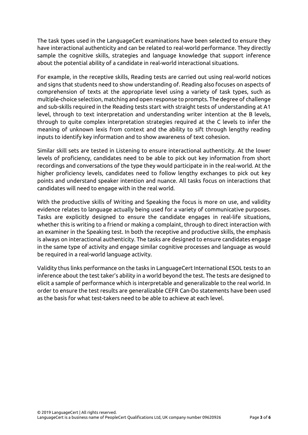The task types used in the LanguageCert examinations have been selected to ensure they have interactional authenticity and can be related to real-world performance. They directly sample the cognitive skills, strategies and language knowledge that support inference about the potential ability of a candidate in real-world interactional situations.

For example, in the receptive skills, Reading tests are carried out using real-world notices and signs that students need to show understanding of. Reading also focuses on aspects of comprehension of texts at the appropriate level using a variety of task types, such as multiple-choice selection, matching and open response to prompts. The degree of challenge and sub-skills required in the Reading tests start with straight tests of understanding at A1 level, through to text interpretation and understanding writer intention at the B levels, through to quite complex interpretation strategies required at the C levels to infer the meaning of unknown lexis from context and the ability to sift through lengthy reading inputs to identify key information and to show awareness of text cohesion.

Similar skill sets are tested in Listening to ensure interactional authenticity. At the lower levels of proficiency, candidates need to be able to pick out key information from short recordings and conversations of the type they would participate in in the real-world. At the higher proficiency levels, candidates need to follow lengthy exchanges to pick out key points and understand speaker intention and nuance. All tasks focus on interactions that candidates will need to engage with in the real world.

With the productive skills of Writing and Speaking the focus is more on use, and validity evidence relates to language actually being used for a variety of communicative purposes. Tasks are explicitly designed to ensure the candidate engages in real-life situations, whether this is writing to a friend or making a complaint, through to direct interaction with an examiner in the Speaking test. In both the receptive and productive skills, the emphasis is always on interactional authenticity. The tasks are designed to ensure candidates engage in the same type of activity and engage similar cognitive processes and language as would be required in a real-world language activity.

Validity thus links performance on the tasks in LanguageCert International ESOL tests to an inference about the test taker's ability in a world beyond the test. The tests are designed to elicit a sample of performance which is interpretable and generalizable to the real world. In order to ensure the test results are generalizable CEFR Can-Do statements have been used as the basis for what test-takers need to be able to achieve at each level.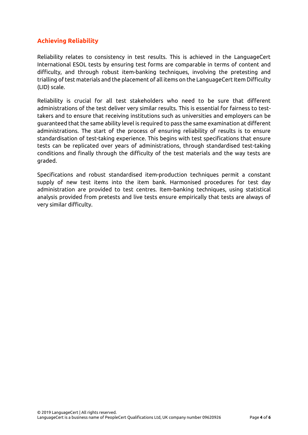## **Achieving Reliability**

Reliability relates to consistency in test results. This is achieved in the LanguageCert International ESOL tests by ensuring test forms are comparable in terms of content and difficulty, and through robust item-banking techniques, involving the pretesting and trialling of test materials and the placement of all items on the LanguageCert Item Difficulty (LID) scale.

Reliability is crucial for all test stakeholders who need to be sure that different administrations of the test deliver very similar results. This is essential for fairness to testtakers and to ensure that receiving institutions such as universities and employers can be guaranteed that the same ability level is required to pass the same examination at different administrations. The start of the process of ensuring reliability of results is to ensure standardisation of test-taking experience. This begins with test specifications that ensure tests can be replicated over years of administrations, through standardised test-taking conditions and finally through the difficulty of the test materials and the way tests are graded.

Specifications and robust standardised item-production techniques permit a constant supply of new test items into the item bank. Harmonised procedures for test day administration are provided to test centres. Item-banking techniques, using statistical analysis provided from pretests and live tests ensure empirically that tests are always of very similar difficulty.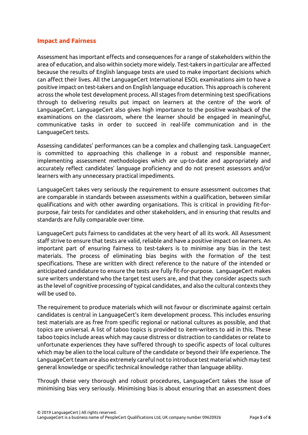#### **Impact and Fairness**

Assessment has important effects and consequences for a range of stakeholders within the area of education, and also within society more widely. Test-takers in particular are affected because the results of English language tests are used to make important decisions which can affect their lives. All the LanguageCert International ESOL examinations aim to have a positive impact on test-takers and on English language education. This approach is coherent across the whole test development process. All stages from determining test specifications through to delivering results put impact on learners at the centre of the work of LanguageCert. LanguageCert also gives high importance to the positive washback of the examinations on the classroom, where the learner should be engaged in meaningful, communicative tasks in order to succeed in real-life communication and in the LanguageCert tests.

Assessing candidates' performances can be a complex and challenging task. LanguageCert is committed to approaching this challenge in a robust and responsible manner, implementing assessment methodologies which are up-to-date and appropriately and accurately reflect candidates' language proficiency and do not present assessors and/or learners with any unnecessary practical impediments.

LanguageCert takes very seriously the requirement to ensure assessment outcomes that are comparable in standards between assessments within a qualification, between similar qualifications and with other awarding organisations. This is critical in providing fit-forpurpose, fair tests for candidates and other stakeholders, and in ensuring that results and standards are fully comparable over time.

LanguageCert puts fairness to candidates at the very heart of all its work. All Assessment staff strive to ensure that tests are valid, reliable and have a positive impact on learners. An important part of ensuring fairness to test-takers is to minimise any bias in the test materials. The process of eliminating bias begins with the formation of the test specifications. These are written with direct reference to the nature of the intended or anticipated candidature to ensure the tests are fully fit-for-purpose. LanguageCert makes sure writers understand who the target test users are, and that they consider aspects such as the level of cognitive processing of typical candidates, and also the cultural contexts they will be used to.

The requirement to produce materials which will not favour or discriminate against certain candidates is central in LanguageCert's item development process. This includes ensuring test materials are as free from specific regional or national cultures as possible, and that topics are universal. A list of taboo topics is provided to item-writers to aid in this. These taboo topics include areas which may cause distress or distraction to candidates or relate to unfortunate experiences they have suffered through to specific aspects of local cultures which may be alien to the local culture of the candidate or beyond their life experience. The LanguageCert team are also extremely careful not to introduce test material which may test general knowledge or specific technical knowledge rather than language ability.

Through these very thorough and robust procedures, LanguageCert takes the issue of minimising bias very seriously. Minimising bias is about ensuring that an assessment does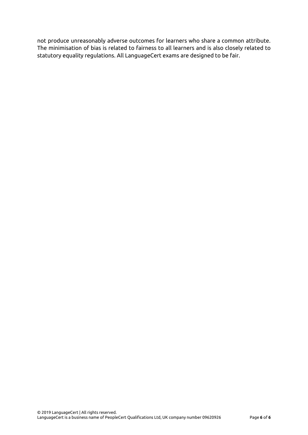not produce unreasonably adverse outcomes for learners who share a common attribute. The minimisation of bias is related to fairness to all learners and is also closely related to statutory equality regulations. All LanguageCert exams are designed to be fair.